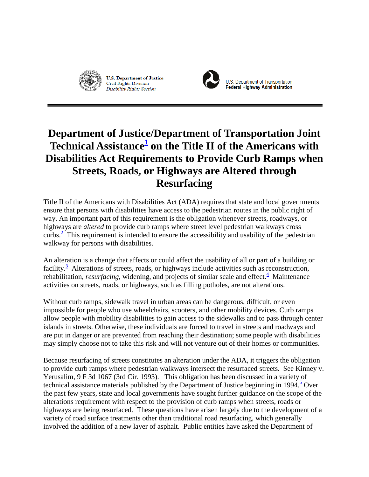

**U.S. Department of Justice** Civil Rights Division Disability Rights Section



U.S. Department of Transportation<br>Federal Highway Administration

# **Department of Justice/Department of Transportation Joint Technical Assistance[1](http://www.ada.gov/doj-fhwa-ta.htm#_ftn1) on the Title II of the Americans with Disabilities Act Requirements to Provide Curb Ramps when Streets, Roads, or Highways are Altered through Resurfacing**

Title II of the Americans with Disabilities Act (ADA) requires that state and local governments ensure that persons with disabilities have access to the pedestrian routes in the public right of way. An important part of this requirement is the obligation whenever streets, roadways, or highways are *altered* to provide curb ramps where street level pedestrian walkways cross curbs. $\frac{2}{3}$  This requirement is intended to ensure the accessibility and usability of the pedestrian walkway for persons with disabilities.

An alteration is a change that affects or could affect the usability of all or part of a building or facility. $3$  Alterations of streets, roads, or highways include activities such as reconstruction, rehabilitation, *resurfacing*, widening, and projects of similar scale and effect. $\frac{4}{3}$  Maintenance activities on streets, roads, or highways, such as filling potholes, are not alterations.

Without curb ramps, sidewalk travel in urban areas can be dangerous, difficult, or even impossible for people who use wheelchairs, scooters, and other mobility devices. Curb ramps allow people with mobility disabilities to gain access to the sidewalks and to pass through center islands in streets. Otherwise, these individuals are forced to travel in streets and roadways and are put in danger or are prevented from reaching their destination; some people with disabilities may simply choose not to take this risk and will not venture out of their homes or communities.

Because resurfacing of streets constitutes an alteration under the ADA, it triggers the obligation to provide curb ramps where pedestrian walkways intersect the resurfaced streets. See Kinney v. Yerusalim, 9 F 3d 1067 (3rd Cir. 1993). This obligation has been discussed in a variety of technical assistance materials published by the Department of Justice beginning in 1994.<sup>5</sup> Over the past few years, state and local governments have sought further guidance on the scope of the alterations requirement with respect to the provision of curb ramps when streets, roads or highways are being resurfaced. These questions have arisen largely due to the development of a variety of road surface treatments other than traditional road resurfacing, which generally involved the addition of a new layer of asphalt. Public entities have asked the Department of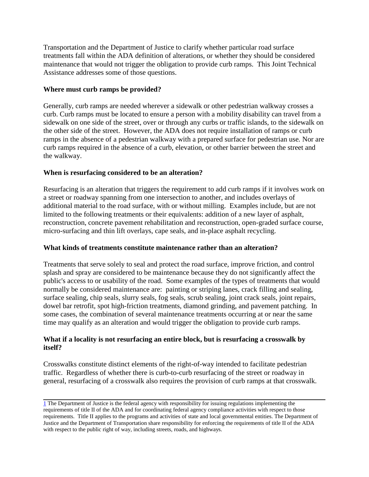Transportation and the Department of Justice to clarify whether particular road surface treatments fall within the ADA definition of alterations, or whether they should be considered maintenance that would not trigger the obligation to provide curb ramps. This Joint Technical Assistance addresses some of those questions.

# **Where must curb ramps be provided?**

Generally, curb ramps are needed wherever a sidewalk or other pedestrian walkway crosses a curb. Curb ramps must be located to ensure a person with a mobility disability can travel from a sidewalk on one side of the street, over or through any curbs or traffic islands, to the sidewalk on the other side of the street. However, the ADA does not require installation of ramps or curb ramps in the absence of a pedestrian walkway with a prepared surface for pedestrian use*.* Nor are curb ramps required in the absence of a curb, elevation, or other barrier between the street and the walkway.

### **When is resurfacing considered to be an alteration?**

Resurfacing is an alteration that triggers the requirement to add curb ramps if it involves work on a street or roadway spanning from one intersection to another, and includes overlays of additional material to the road surface, with or without milling. Examples include, but are not limited to the following treatments or their equivalents: addition of a new layer of asphalt, reconstruction, concrete pavement rehabilitation and reconstruction, open-graded surface course, micro-surfacing and thin lift overlays, cape seals, and in-place asphalt recycling.

#### **What kinds of treatments constitute maintenance rather than an alteration?**

Treatments that serve solely to seal and protect the road surface, improve friction, and control splash and spray are considered to be maintenance because they do not significantly affect the public's access to or usability of the road. Some examples of the types of treatments that would normally be considered maintenance are: painting or striping lanes, crack filling and sealing, surface sealing, chip seals, slurry seals, fog seals, scrub sealing, joint crack seals, joint repairs, dowel bar retrofit, spot high-friction treatments, diamond grinding, and pavement patching. In some cases, the combination of several maintenance treatments occurring at or near the same time may qualify as an alteration and would trigger the obligation to provide curb ramps.

# **What if a locality is not resurfacing an entire block, but is resurfacing a crosswalk by itself?**

Crosswalks constitute distinct elements of the right-of-way intended to facilitate pedestrian traffic. Regardless of whether there is curb-to-curb resurfacing of the street or roadway in general, resurfacing of a crosswalk also requires the provision of curb ramps at that crosswalk.

[<sup>1</sup>](http://www.ada.gov/doj-fhwa-ta.htm#_ftnref1) The Department of Justice is the federal agency with responsibility for issuing regulations implementing the requirements of title II of the ADA and for coordinating federal agency compliance activities with respect to those requirements. Title II applies to the programs and activities of state and local governmental entities. The Department of Justice and the Department of Transportation share responsibility for enforcing the requirements of title II of the ADA with respect to the public right of way, including streets, roads, and highways.